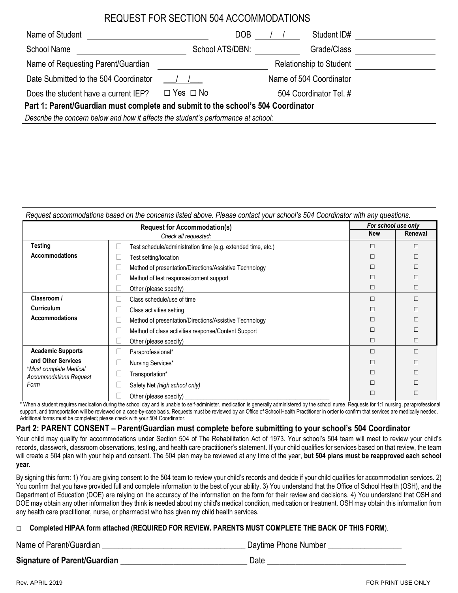# REQUEST FOR SECTION 504 ACCOMMODATIONS

| Name of Student                                                                  | DOB                  | Student ID#             |  |
|----------------------------------------------------------------------------------|----------------------|-------------------------|--|
| <b>School Name</b>                                                               | School ATS/DBN:      | Grade/Class             |  |
| Name of Requesting Parent/Guardian                                               |                      | Relationship to Student |  |
| Date Submitted to the 504 Coordinator                                            |                      | Name of 504 Coordinator |  |
| Does the student have a current IEP?                                             | $\Box$ Yes $\Box$ No | 504 Coordinator Tel. #  |  |
| Part 1: Parent/Guardian must complete and submit to the school's 504 Coordinator |                      |                         |  |

*Describe the concern below and how it affects the student's performance at school:*

*Request accommodations based on the concerns listed above. Please contact your school's 504 Coordinator with any questions.*

| <b>Request for Accommodation(s)</b>                             |  | For school use only                                          |         |   |
|-----------------------------------------------------------------|--|--------------------------------------------------------------|---------|---|
| Check all requested:                                            |  | New                                                          | Renewal |   |
| Testing                                                         |  | Test schedule/administration time (e.g. extended time, etc.) |         | □ |
| <b>Accommodations</b>                                           |  | Fest setting/location                                        | П       | П |
|                                                                 |  | Method of presentation/Directions/Assistive Technology       | П       | П |
|                                                                 |  | Method of test response/content support                      | П       | П |
|                                                                 |  | Other (please specify)                                       | $\Box$  | □ |
| Classroom /                                                     |  | Class schedule/use of time                                   | П       | П |
| <b>Curriculum</b>                                               |  | Class activities setting                                     | П       | П |
| <b>Accommodations</b>                                           |  | Method of presentation/Directions/Assistive Technology       |         | П |
|                                                                 |  | Method of class activities response/Content Support          | П       | П |
|                                                                 |  | Other (please specify)                                       | $\Box$  | □ |
| <b>Academic Supports</b>                                        |  | Paraprofessional*                                            | П       | П |
| and Other Services                                              |  | Nursing Services*                                            |         | П |
| *Must complete Medical<br><b>Accommodations Request</b><br>Form |  | Transportation*                                              |         | П |
|                                                                 |  | Safety Net (high school only)                                |         | П |
|                                                                 |  | Other (please specify)                                       |         | П |

\* When a student requires medication during the school day and is unable to self-administer, medication is generally administered by the school nurse. Requests for 1:1 nursing, paraprofessional support, and transportation will be reviewed on a case-by-case basis. Requests must be reviewed by an Office of School Health Practitioner in order to confirm that services are medically needed. Additional forms must be completed; please check with your 504 Coordinator.

## **Part 2: PARENT CONSENT – Parent/Guardian must complete before submitting to your school's 504 Coordinator**

Your child may qualify for accommodations under Section 504 of The Rehabilitation Act of 1973. Your school's 504 team will meet to review your child's records, classwork, classroom observations, testing, and health care practitioner's statement. If your child qualifies for services based on that review, the team will create a 504 plan with your help and consent. The 504 plan may be reviewed at any time of the year, **but 504 plans must be reapproved each school year.**

By signing this form: 1) You are giving consent to the 504 team to review your child's records and decide if your child qualifies for accommodation services. 2) You confirm that you have provided full and complete information to the best of your ability. 3) You understand that the Office of School Health (OSH), and the Department of Education (DOE) are relying on the accuracy of the information on the form for their review and decisions. 4) You understand that OSH and DOE may obtain any other information they think is needed about my child's medical condition, medication or treatment. OSH may obtain this information from any health care practitioner, nurse, or pharmacist who has given my child health services.

### □ **Completed HIPAA form attached (REQUIRED FOR REVIEW. PARENTS MUST COMPLETE THE BACK OF THIS FORM**).

Name of Parent/Guardian \_\_\_\_\_\_\_\_\_\_\_\_\_\_\_\_\_\_\_\_\_\_\_\_\_\_\_\_\_\_\_\_\_\_\_ Daytime Phone Number \_\_\_\_\_\_\_\_\_\_\_\_\_\_\_\_\_\_

**Signature of Parent/Guardian** \_\_\_\_\_\_\_\_\_\_\_\_\_\_\_\_\_\_\_\_\_\_\_\_\_\_\_\_\_\_\_ Date \_\_\_\_\_\_\_\_\_\_\_\_\_\_\_\_\_\_\_\_\_\_\_\_\_\_\_\_\_\_\_\_\_\_